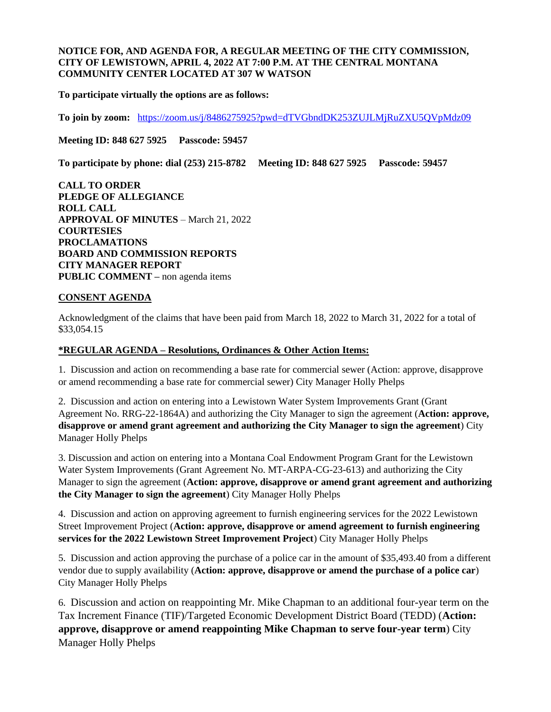## **NOTICE FOR, AND AGENDA FOR, A REGULAR MEETING OF THE CITY COMMISSION, CITY OF LEWISTOWN, APRIL 4, 2022 AT 7:00 P.M. AT THE CENTRAL MONTANA COMMUNITY CENTER LOCATED AT 307 W WATSON**

**To participate virtually the options are as follows:**

**To join by zoom:** <https://zoom.us/j/8486275925?pwd=dTVGbndDK253ZUJLMjRuZXU5QVpMdz09>

**Meeting ID: 848 627 5925 Passcode: 59457**

**To participate by phone: dial (253) 215-8782 Meeting ID: 848 627 5925 Passcode: 59457**

**CALL TO ORDER PLEDGE OF ALLEGIANCE ROLL CALL APPROVAL OF MINUTES** – March 21, 2022 **COURTESIES PROCLAMATIONS BOARD AND COMMISSION REPORTS CITY MANAGER REPORT PUBLIC COMMENT –** non agenda items

### **CONSENT AGENDA**

Acknowledgment of the claims that have been paid from March 18, 2022 to March 31, 2022 for a total of \$33,054.15

#### **\*REGULAR AGENDA – Resolutions, Ordinances & Other Action Items:**

1. Discussion and action on recommending a base rate for commercial sewer (Action: approve, disapprove or amend recommending a base rate for commercial sewer) City Manager Holly Phelps

2. Discussion and action on entering into a Lewistown Water System Improvements Grant (Grant Agreement No. RRG-22-1864A) and authorizing the City Manager to sign the agreement (**Action: approve, disapprove or amend grant agreement and authorizing the City Manager to sign the agreement**) City Manager Holly Phelps

3. Discussion and action on entering into a Montana Coal Endowment Program Grant for the Lewistown Water System Improvements (Grant Agreement No. MT-ARPA-CG-23-613) and authorizing the City Manager to sign the agreement (**Action: approve, disapprove or amend grant agreement and authorizing the City Manager to sign the agreement**) City Manager Holly Phelps

4. Discussion and action on approving agreement to furnish engineering services for the 2022 Lewistown Street Improvement Project (**Action: approve, disapprove or amend agreement to furnish engineering services for the 2022 Lewistown Street Improvement Project**) City Manager Holly Phelps

5. Discussion and action approving the purchase of a police car in the amount of \$35,493.40 from a different vendor due to supply availability (**Action: approve, disapprove or amend the purchase of a police car**) City Manager Holly Phelps

6. Discussion and action on reappointing Mr. Mike Chapman to an additional four-year term on the Tax Increment Finance (TIF)/Targeted Economic Development District Board (TEDD) (**Action: approve, disapprove or amend reappointing Mike Chapman to serve four-year term**) City Manager Holly Phelps